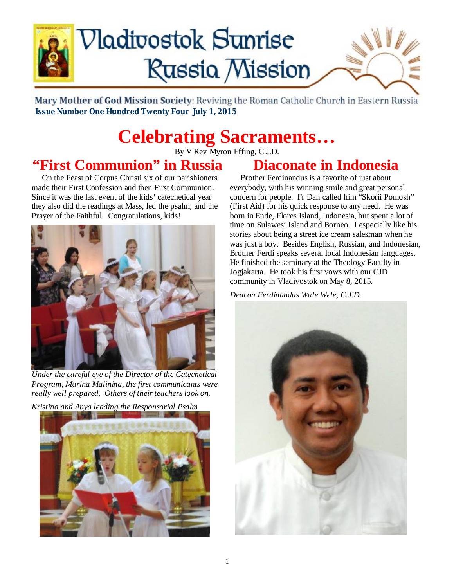

# **Nadivostok Sunrise Russia Mission**



Mary Mother of God Mission Society: Reviving the Roman Catholic Church in Eastern Russia  **Issue Number One Hundred Twenty Four July 1, 2015**

## **Celebrating Sacraments…**

By V Rev Myron Effing, C.J.D.

## **"First Communion" in Russia**

 On the Feast of Corpus Christi six of our parishioners made their First Confession and then First Communion. Since it was the last event of the kids' catechetical year they also did the readings at Mass, led the psalm, and the Prayer of the Faithful. Congratulations, kids!



*Under the careful eye of the Director of the Catechetical Program, Marina Malinina, the first communicants were really well prepared. Others of their teachers look on.* 

*Kristina and Anya leading the Responsorial Psalm* 



## **Diaconate in Indonesia**

 Brother Ferdinandus is a favorite of just about everybody, with his winning smile and great personal concern for people. Fr Dan called him "Skorii Pomosh" (First Aid) for his quick response to any need. He was born in Ende, Flores Island, Indonesia, but spent a lot of time on Sulawesi Island and Borneo. I especially like his stories about being a street ice cream salesman when he was just a boy. Besides English, Russian, and Indonesian, Brother Ferdi speaks several local Indonesian languages. He finished the seminary at the Theology Faculty in Jogjakarta. He took his first vows with our CJD community in Vladivostok on May 8, 2015.

*Deacon Ferdinandus Wale Wele, C.J.D.* 

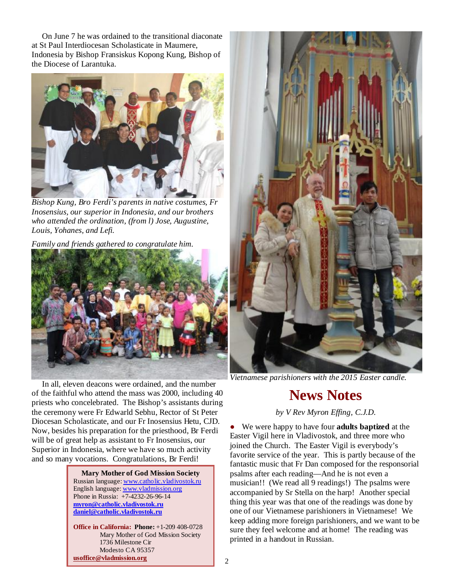On June 7 he was ordained to the transitional diaconate at St Paul Interdiocesan Scholasticate in Maumere, Indonesia by Bishop Fransiskus Kopong Kung, Bishop of the Diocese of Larantuka.



*Bishop Kung, Bro Ferdi's parents in native costumes, Fr Inosensius, our superior in Indonesia, and our brothers who attended the ordination, (from l) Jose, Augustine, Louis, Yohanes, and Lefi.* 

*Family and friends gathered to congratulate him.* 



 In all, eleven deacons were ordained, and the number of the faithful who attend the mass was 2000, including 40 priests who concelebrated. The Bishop's assistants during the ceremony were Fr Edwarld Sebhu, Rector of St Peter Diocesan Scholasticate, and our Fr Inosensius Hetu, CJD. Now, besides his preparation for the priesthood, Br Ferdi will be of great help as assistant to Fr Inosensius, our Superior in Indonesia, where we have so much activity and so many vocations. Congratulations, Br Ferdi!

> **Mary Mother of God Mission Society** Russian language: [www.catholic.vladivostok.ru](http://www.catholic.vladivostok.ru) English language: [www.vladmission.org](http://www.vladmission.org) Phone in Russia: +7-4232-26-96-14 **[myron@catholic.vladivostok.ru](mailto:myron@catholic.vladivostok.ru) [daniel@catholic.vladivostok.ru](mailto:daniel@catholic.vladivostok.ru)**

**Office in California: Phone:** +1-209 408-0728 Mary Mother of God Mission Society 1736 Milestone Cir Modesto CA 95357 **[usoffice@vladmission.org](mailto:usoffice@vladmission.org)**



*Vietnamese parishioners with the 2015 Easter candle.* 

## **News Notes**

*by V Rev Myron Effing, C.J.D.* 

We were happy to have four **adults baptized** at the Easter Vigil here in Vladivostok, and three more who joined the Church. The Easter Vigil is everybody's favorite service of the year. This is partly because of the fantastic music that Fr Dan composed for the responsorial psalms after each reading—And he is not even a musician!! (We read all 9 readings!) The psalms were accompanied by Sr Stella on the harp! Another special thing this year was that one of the readings was done by one of our Vietnamese parishioners in Vietnamese! We keep adding more foreign parishioners, and we want to be sure they feel welcome and at home! The reading was printed in a handout in Russian.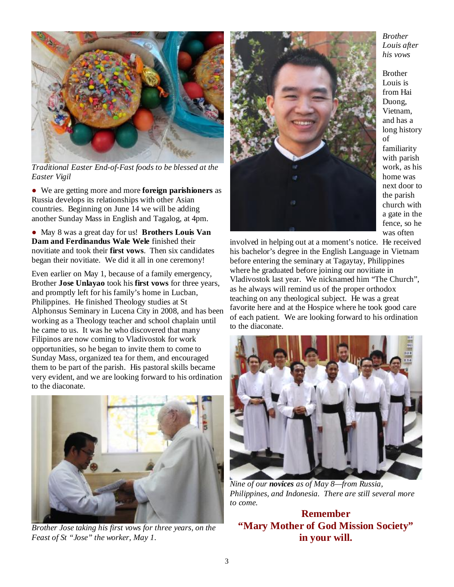

*Traditional Easter End-of-Fast foods to be blessed at the Easter Vigil* 

● We are getting more and more **foreign parishioners** as Russia develops its relationships with other Asian countries. Beginning on June 14 we will be adding another Sunday Mass in English and Tagalog, at 4pm.

● May 8 was a great day for us! **Brothers Louis Van Dam and Ferdinandus Wale Wele** finished their novitiate and took their **first vows**. Then six candidates began their novitiate. We did it all in one ceremony!

Even earlier on May 1, because of a family emergency, Brother **Jose Unlayao** took his **first vows** for three years, and promptly left for his family's home in Lucban, Philippines. He finished Theology studies at St Alphonsus Seminary in Lucena City in 2008, and has been working as a Theology teacher and school chaplain until he came to us. It was he who discovered that many Filipinos are now coming to Vladivostok for work opportunities, so he began to invite them to come to Sunday Mass, organized tea for them, and encouraged them to be part of the parish. His pastoral skills became very evident, and we are looking forward to his ordination to the diaconate.



*Brother Jose taking his first vows for three years, on the Feast of St "Jose" the worker, May 1.* 



*Brother Louis after his vows* 

Brother Louis is from Hai Duong, Vietnam, and has a long history of familiarity with parish work, as his home was next door to the parish church with a gate in the fence, so he was often

involved in helping out at a moment's notice. He received his bachelor's degree in the English Language in Vietnam before entering the seminary at Tagaytay, Philippines where he graduated before joining our novitiate in Vladivostok last year. We nicknamed him "The Church", as he always will remind us of the proper orthodox teaching on any theological subject. He was a great favorite here and at the Hospice where he took good care of each patient. We are looking forward to his ordination to the diaconate.



*Nine of our novices as of May 8—from Russia, Philippines, and Indonesia. There are still several more to come.* 

#### **Remember "Mary Mother of God Mission Society" in your will.**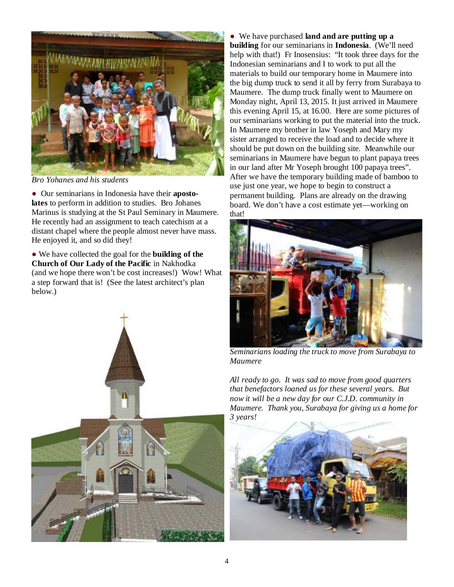

*Bro Yohanes and his students* 

● Our seminarians in Indonesia have their **apostolates** to perform in addition to studies. Bro Johanes Marinus is studying at the St Paul Seminary in Maumere. He recently had an assignment to teach catechism at a distant chapel where the people almost never have mass. He enjoyed it, and so did they!

● We have collected the goal for the **building of the Church of Our Lady of the Pacific** in Nakhodka (and we hope there won't be cost increases!) Wow! What a step forward that is! (See the latest architect's plan below.)



● We have purchased **land and are putting up a building** for our seminarians in **Indonesia**. (We'll need help with that!) Fr Inosensius: "It took three days for the Indonesian seminarians and I to work to put all the materials to build our temporary home in Maumere into the big dump truck to send it all by ferry from Surabaya to Maumere. The dump truck finally went to Maumere on Monday night, April 13, 2015. It just arrived in Maumere this evening April 15, at 16.00. Here are some pictures of our seminarians working to put the material into the truck. In Maumere my brother in law Yoseph and Mary my sister arranged to receive the load and to decide where it should be put down on the building site. Meanwhile our seminarians in Maumere have begun to plant papaya trees in our land after Mr Yoseph brought 100 papaya trees". After we have the temporary building made of bamboo to use just one year, we hope to begin to construct a permanent building. Plans are already on the drawing board. We don't have a cost estimate yet—working on that!



*Seminarians loading the truck to move from Surabaya to Maumere* 

*All ready to go. It was sad to move from good quarters that benefactors loaned us for these several years. But now it will be a new day for our C.J.D. community in Maumere. Thank you, Surabaya for giving us a home for 3 years!* 

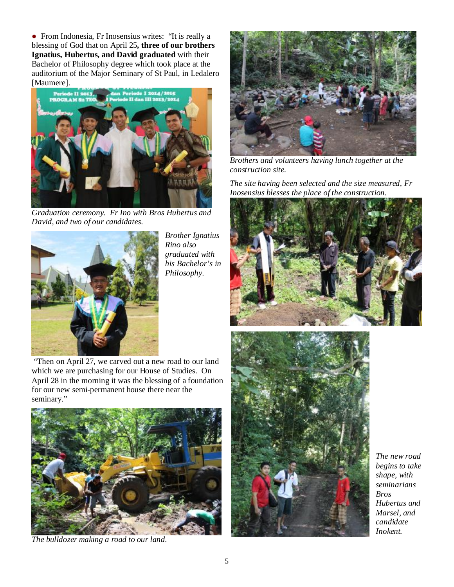● From Indonesia, Fr Inosensius writes: "It is really a blessing of God that on April 25**, three of our brothers Ignatius, Hubertus, and David graduated** with their Bachelor of Philosophy degree which took place at the auditorium of the Major Seminary of St Paul, in Ledalero [Maumere].



*Graduation ceremony. Fr Ino with Bros Hubertus and David, and two of our candidates.* 



*Brother Ignatius Rino also graduated with his Bachelor's in Philosophy*.



*Brothers and volunteers having lunch together at the construction site.* 

*The site having been selected and the size measured, Fr Inosensius blesses the place of the construction.* 



"Then on April 27, we carved out a new road to our land which we are purchasing for our House of Studies. On April 28 in the morning it was the blessing of a foundation for our new semi-permanent house there near the seminary."



*The bulldozer making a road to our land.* 



*The new road begins to take shape, with seminarians Bros Hubertus and Marsel, and candidate Inokent.*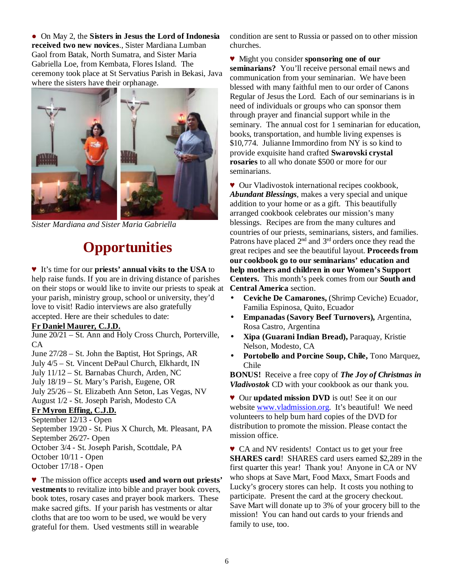● On May 2, the **Sisters in Jesus the Lord of Indonesia received two new novices**., Sister Mardiana Lumban Gaol from Batak, North Sumatra, and Sister Maria Gabriella Loe, from Kembata, Flores Island. The ceremony took place at St Servatius Parish in Bekasi, Java where the sisters have their orphanage.



*Sister Mardiana and Sister Maria Gabriella* 

### **Opportunities**

#### ♥ It's time for our **priests' annual visits to the USA** to help raise funds. If you are in driving distance of parishes on their stops or would like to invite our priests to speak at your parish, ministry group, school or university, they'd love to visit! Radio interviews are also gratefully accepted. Here are their schedules to date:

#### **Fr Daniel Maurer, C.J.D.**

June 20/21 – St. Ann and Holy Cross Church, Porterville, CA

June 27/28 – St. John the Baptist, Hot Springs, AR July 4/5 – St. Vincent DePaul Church, Elkhardt, IN July 11/12 – St. Barnabas Church, Arden, NC July 18/19 – St. Mary's Parish, Eugene, OR July 25/26 – St. Elizabeth Ann Seton, Las Vegas, NV August 1/2 - St. Joseph Parish, Modesto CA

#### **Fr Myron Effing, C.J.D.**

September 12/13 - Open September 19/20 - St. Pius X Church, Mt. Pleasant, PA September 26/27- Open October 3/4 - St. Joseph Parish, Scottdale, PA October 10/11 - Open October 17/18 - Open

♥ The mission office accepts **used and worn out priests' vestments** to revitalize into bible and prayer book covers, book totes, rosary cases and prayer book markers. These make sacred gifts. If your parish has vestments or altar cloths that are too worn to be used, we would be very grateful for them. Used vestments still in wearable

condition are sent to Russia or passed on to other mission churches.

♥ Might you consider **sponsoring one of our seminarians?** You'll receive personal email news and communication from your seminarian. We have been blessed with many faithful men to our order of Canons Regular of Jesus the Lord. Each of our seminarians is in need of individuals or groups who can sponsor them through prayer and financial support while in the seminary. The annual cost for 1 seminarian for education, books, transportation, and humble living expenses is \$10,774. Julianne Immordino from NY is so kind to provide exquisite hand crafted **Swarovski crystal rosaries** to all who donate \$500 or more for our seminarians.

♥ Our Vladivostok international recipes cookbook, *Abundant Blessings*, makes a very special and unique addition to your home or as a gift. This beautifully arranged cookbook celebrates our mission's many blessings. Recipes are from the many cultures and countries of our priests, seminarians, sisters, and families. Patrons have placed 2<sup>nd</sup> and 3<sup>rd</sup> orders once they read the great recipes and see the beautiful layout. **Proceeds from our cookbook go to our seminarians' education and help mothers and children in our Women's Support Centers.** This month's peek comes from our **South and Central America** section.

- **Ceviche De Camarones,** (Shrimp Ceviche) Ecuador, Familia Espinosa, Quito, Ecuador
- **Empanadas (Savory Beef Turnovers),** Argentina, Rosa Castro, Argentina
- **Xipa (Guarani Indian Bread),** Paraquay, Kristie Nelson, Modesto, CA
- **Portobello and Porcine Soup, Chile,** Tono Marquez, Chile

**BONUS!** Receive a free copy of *The Joy of Christmas in Vladivostok* CD with your cookbook as our thank you.

♥ Our **updated mission DVD** is out! See it on our website [www.vladmission.org](http://www.vladmission.org). It's beautiful! We need volunteers to help burn hard copies of the DVD for distribution to promote the mission. Please contact the mission office.

♥ CA and NV residents! Contact us to get your free **SHARES card**! SHARES card users earned \$2,289 in the first quarter this year! Thank you! Anyone in CA or NV who shops at Save Mart, Food Maxx, Smart Foods and Lucky's grocery stores can help. It costs you nothing to participate. Present the card at the grocery checkout. Save Mart will donate up to 3% of your grocery bill to the mission! You can hand out cards to your friends and family to use, too.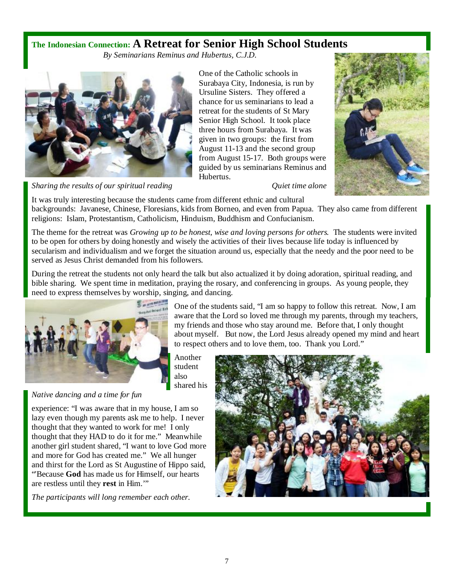#### **The Indonesian Connection: A Retreat for Senior High School Students**

*By Seminarians Reminus and Hubertus, C.J.D.* 



One of the Catholic schools in Surabaya City, Indonesia, is run by Ursuline Sisters. They offered a chance for us seminarians to lead a retreat for the students of St Mary Senior High School. It took place three hours from Surabaya. It was given in two groups: the first from August 11-13 and the second group from August 15-17. Both groups were guided by us seminarians Reminus and Hubertus.



*Sharing the results of our spiritual reading Quiet time alone* 

It was truly interesting because the students came from different ethnic and cultural backgrounds: Javanese, Chinese, Floresians, kids from Borneo, and even from Papua. They also came from different religions: Islam, Protestantism, Catholicism, Hinduism, Buddhism and Confucianism.

The theme for the retreat was *Growing up to be honest, wise and loving persons for others.* The students were invited to be open for others by doing honestly and wisely the activities of their lives because life today is influenced by secularism and individualism and we forget the situation around us, especially that the needy and the poor need to be served as Jesus Christ demanded from his followers.

During the retreat the students not only heard the talk but also actualized it by doing adoration, spiritual reading, and bible sharing. We spent time in meditation, praying the rosary, and conferencing in groups. As young people, they need to express themselves by worship, singing, and dancing.



One of the students said, "I am so happy to follow this retreat. Now, I am aware that the Lord so loved me through my parents, through my teachers, my friends and those who stay around me. Before that, I only thought about myself. But now, the Lord Jesus already opened my mind and heart to respect others and to love them, too. Thank you Lord."

Another student also shared his

*Native dancing and a time for fun*

experience: "I was aware that in my house, I am so lazy even though my parents ask me to help. I never thought that they wanted to work for me! I only thought that they HAD to do it for me." Meanwhile another girl student shared, "I want to love God more and more for God has created me." We all hunger and thirst for the Lord as St Augustine of Hippo said, "'Because **God** has made us for Himself, our hearts are restless until they **rest** in Him.'"

*The participants will long remember each other.*